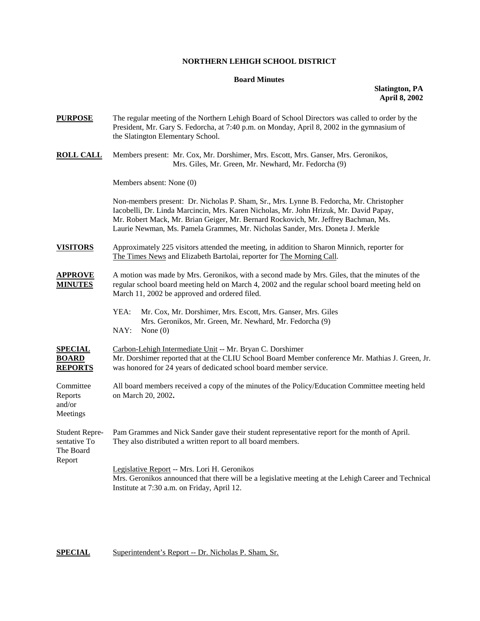## **NORTHERN LEHIGH SCHOOL DISTRICT**

## **Board Minutes**

## **Slatington, PA April 8, 2002**

| <b>PURPOSE</b>                                               | The regular meeting of the Northern Lehigh Board of School Directors was called to order by the<br>President, Mr. Gary S. Fedorcha, at 7:40 p.m. on Monday, April 8, 2002 in the gymnasium of<br>the Slatington Elementary School.                                                                                                                       |  |  |
|--------------------------------------------------------------|----------------------------------------------------------------------------------------------------------------------------------------------------------------------------------------------------------------------------------------------------------------------------------------------------------------------------------------------------------|--|--|
| <b>ROLL CALL</b>                                             | Members present: Mr. Cox, Mr. Dorshimer, Mrs. Escott, Mrs. Ganser, Mrs. Geronikos,<br>Mrs. Giles, Mr. Green, Mr. Newhard, Mr. Fedorcha (9)                                                                                                                                                                                                               |  |  |
|                                                              | Members absent: None (0)                                                                                                                                                                                                                                                                                                                                 |  |  |
|                                                              | Non-members present: Dr. Nicholas P. Sham, Sr., Mrs. Lynne B. Fedorcha, Mr. Christopher<br>Iacobelli, Dr. Linda Marcincin, Mrs. Karen Nicholas, Mr. John Hrizuk, Mr. David Papay,<br>Mr. Robert Mack, Mr. Brian Geiger, Mr. Bernard Rockovich, Mr. Jeffrey Bachman, Ms.<br>Laurie Newman, Ms. Pamela Grammes, Mr. Nicholas Sander, Mrs. Doneta J. Merkle |  |  |
| <b>VISITORS</b>                                              | Approximately 225 visitors attended the meeting, in addition to Sharon Minnich, reporter for<br>The Times News and Elizabeth Bartolai, reporter for The Morning Call.                                                                                                                                                                                    |  |  |
| <b>APPROVE</b><br><b>MINUTES</b>                             | A motion was made by Mrs. Geronikos, with a second made by Mrs. Giles, that the minutes of the<br>regular school board meeting held on March 4, 2002 and the regular school board meeting held on<br>March 11, 2002 be approved and ordered filed.                                                                                                       |  |  |
|                                                              | YEA:<br>Mr. Cox, Mr. Dorshimer, Mrs. Escott, Mrs. Ganser, Mrs. Giles<br>Mrs. Geronikos, Mr. Green, Mr. Newhard, Mr. Fedorcha (9)<br>NAY:<br>None $(0)$                                                                                                                                                                                                   |  |  |
| <b>SPECIAL</b><br><b>BOARD</b><br><b>REPORTS</b>             | Carbon-Lehigh Intermediate Unit -- Mr. Bryan C. Dorshimer<br>Mr. Dorshimer reported that at the CLIU School Board Member conference Mr. Mathias J. Green, Jr.<br>was honored for 24 years of dedicated school board member service.                                                                                                                      |  |  |
| Committee<br>Reports<br>and/or<br>Meetings                   | All board members received a copy of the minutes of the Policy/Education Committee meeting held<br>on March 20, 2002.                                                                                                                                                                                                                                    |  |  |
| <b>Student Repre-</b><br>sentative To<br>The Board<br>Report | Pam Grammes and Nick Sander gave their student representative report for the month of April.<br>They also distributed a written report to all board members.                                                                                                                                                                                             |  |  |
|                                                              | Legislative Report -- Mrs. Lori H. Geronikos<br>Mrs. Geronikos announced that there will be a legislative meeting at the Lehigh Career and Technical<br>Institute at 7:30 a.m. on Friday, April 12.                                                                                                                                                      |  |  |
|                                                              |                                                                                                                                                                                                                                                                                                                                                          |  |  |

**SPECIAL** Superintendent's Report -- Dr. Nicholas P. Sham, Sr.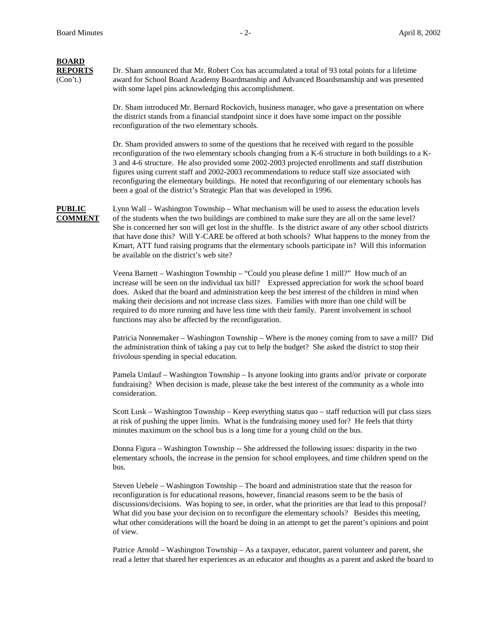# **BOARD**

**REPORTS** Dr. Sham announced that Mr. Robert Cox has accumulated a total of 93 total points for a lifetime (Con't.) award for School Board Academy Boardmanship and Advanced Boardsmanship and was presented with some lapel pins acknowledging this accomplishment.

> Dr. Sham introduced Mr. Bernard Rockovich, business manager, who gave a presentation on where the district stands from a financial standpoint since it does have some impact on the possible reconfiguration of the two elementary schools.

Dr. Sham provided answers to some of the questions that he received with regard to the possible reconfiguration of the two elementary schools changing from a K-6 structure in both buildings to a K-3 and 4-6 structure. He also provided some 2002-2003 projected enrollments and staff distribution figures using current staff and 2002-2003 recommendations to reduce staff size associated with reconfiguring the elementary buildings. He noted that reconfiguring of our elementary schools has been a goal of the district's Strategic Plan that was developed in 1996.

**PUBLIC** Lynn Wall – Washington Township – What mechanism will be used to assess the education levels **COMMENT** of the students when the two buildings are combined to make sure they are all on the same level? She is concerned her son will get lost in the shuffle. Is the district aware of any other school districts that have done this? Will Y-CARE be offered at both schools? What happens to the money from the Kmart, ATT fund raising programs that the elementary schools participate in? Will this information be available on the district's web site?

> Veena Barnett – Washington Township – "Could you please define 1 mill?" How much of an increase will be seen on the individual tax bill? Expressed appreciation for work the school board does. Asked that the board and administration keep the best interest of the children in mind when making their decisions and not increase class sizes. Families with more than one child will be required to do more running and have less time with their family. Parent involvement in school functions may also be affected by the reconfiguration.

Patricia Nonnemaker – Washington Township – Where is the money coming from to save a mill? Did the administration think of taking a pay cut to help the budget? She asked the district to stop their frivolous spending in special education.

Pamela Umlauf – Washington Township – Is anyone looking into grants and/or private or corporate fundraising? When decision is made, please take the best interest of the community as a whole into consideration.

Scott Lusk – Washington Township – Keep everything status quo – staff reduction will put class sizes at risk of pushing the upper limits. What is the fundraising money used for? He feels that thirty minutes maximum on the school bus is a long time for a young child on the bus.

Donna Figura – Washington Township -- She addressed the following issues: disparity in the two elementary schools, the increase in the pension for school employees, and time children spend on the bus.

Steven Uebele – Washington Township – The board and administration state that the reason for reconfiguration is for educational reasons, however, financial reasons seem to be the basis of discussions/decisions. Was hoping to see, in order, what the priorities are that lead to this proposal? What did you base your decision on to reconfigure the elementary schools? Besides this meeting, what other considerations will the board be doing in an attempt to get the parent's opinions and point of view.

Patrice Arnold – Washington Township – As a taxpayer, educator, parent volunteer and parent, she read a letter that shared her experiences as an educator and thoughts as a parent and asked the board to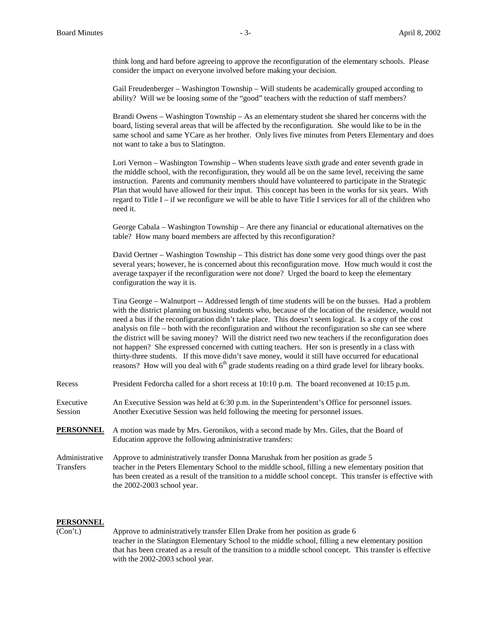think long and hard before agreeing to approve the reconfiguration of the elementary schools. Please consider the impact on everyone involved before making your decision.

Gail Freudenberger – Washington Township – Will students be academically grouped according to ability? Will we be loosing some of the "good" teachers with the reduction of staff members?

Brandi Owens – Washington Township – As an elementary student she shared her concerns with the board, listing several areas that will be affected by the reconfiguration. She would like to be in the same school and same YCare as her brother. Only lives five minutes from Peters Elementary and does not want to take a bus to Slatington.

Lori Vernon – Washington Township – When students leave sixth grade and enter seventh grade in the middle school, with the reconfiguration, they would all be on the same level, receiving the same instruction. Parents and community members should have volunteered to participate in the Strategic Plan that would have allowed for their input. This concept has been in the works for six years. With regard to Title I – if we reconfigure we will be able to have Title I services for all of the children who need it.

George Cabala – Washington Township – Are there any financial or educational alternatives on the table? How many board members are affected by this reconfiguration?

David Oertner – Washington Township – This district has done some very good things over the past several years; however, he is concerned about this reconfiguration move. How much would it cost the average taxpayer if the reconfiguration were not done? Urged the board to keep the elementary configuration the way it is.

Tina George – Walnutport -- Addressed length of time students will be on the busses. Had a problem with the district planning on bussing students who, because of the location of the residence, would not need a bus if the reconfiguration didn't take place. This doesn't seem logical. Is a copy of the cost analysis on file – both with the reconfiguration and without the reconfiguration so she can see where the district will be saving money? Will the district need two new teachers if the reconfiguration does not happen? She expressed concerned with cutting teachers. Her son is presently in a class with thirty-three students. If this move didn't save money, would it still have occurred for educational reasons? How will you deal with  $6<sup>th</sup>$  grade students reading on a third grade level for library books.

Recess President Fedorcha called for a short recess at 10:10 p.m. The board reconvened at 10:15 p.m.

Executive An Executive Session was held at 6:30 p.m. in the Superintendent's Office for personnel issues. Session Another Executive Session was held following the meeting for personnel issues.

- **PERSONNEL** A motion was made by Mrs. Geronikos, with a second made by Mrs. Giles, that the Board of Education approve the following administrative transfers:
- Administrative Approve to administratively transfer Donna Marushak from her position as grade 5 Transfers teacher in the Peters Elementary School to the middle school, filling a new elementary position that has been created as a result of the transition to a middle school concept. This transfer is effective with the 2002-2003 school year.

### **PERSONNEL**

(Con't.) Approve to administratively transfer Ellen Drake from her position as grade 6 teacher in the Slatington Elementary School to the middle school, filling a new elementary position that has been created as a result of the transition to a middle school concept. This transfer is effective with the 2002-2003 school year.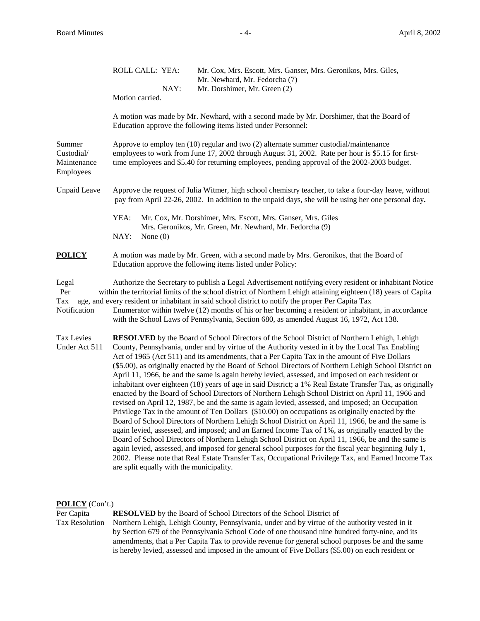|                                                  | ROLL CALL: YEA:                                                                                                                                                                                                                                                                               | Mr. Cox, Mrs. Escott, Mrs. Ganser, Mrs. Geronikos, Mrs. Giles,<br>Mr. Newhard, Mr. Fedorcha (7)                                                                                                                                                                                                                                                                                                                                                                                                                                                                                                                                                                                                                                                                                                                                                                                                                                                                                                                                                                                                                                                                                                                                                                                                                                                                                                                                                                                   |  |  |
|--------------------------------------------------|-----------------------------------------------------------------------------------------------------------------------------------------------------------------------------------------------------------------------------------------------------------------------------------------------|-----------------------------------------------------------------------------------------------------------------------------------------------------------------------------------------------------------------------------------------------------------------------------------------------------------------------------------------------------------------------------------------------------------------------------------------------------------------------------------------------------------------------------------------------------------------------------------------------------------------------------------------------------------------------------------------------------------------------------------------------------------------------------------------------------------------------------------------------------------------------------------------------------------------------------------------------------------------------------------------------------------------------------------------------------------------------------------------------------------------------------------------------------------------------------------------------------------------------------------------------------------------------------------------------------------------------------------------------------------------------------------------------------------------------------------------------------------------------------------|--|--|
|                                                  | NAY:<br>Motion carried.                                                                                                                                                                                                                                                                       | Mr. Dorshimer, Mr. Green (2)                                                                                                                                                                                                                                                                                                                                                                                                                                                                                                                                                                                                                                                                                                                                                                                                                                                                                                                                                                                                                                                                                                                                                                                                                                                                                                                                                                                                                                                      |  |  |
|                                                  |                                                                                                                                                                                                                                                                                               | A motion was made by Mr. Newhard, with a second made by Mr. Dorshimer, that the Board of<br>Education approve the following items listed under Personnel:                                                                                                                                                                                                                                                                                                                                                                                                                                                                                                                                                                                                                                                                                                                                                                                                                                                                                                                                                                                                                                                                                                                                                                                                                                                                                                                         |  |  |
| Summer<br>Custodial/<br>Maintenance<br>Employees | Approve to employ ten $(10)$ regular and two $(2)$ alternate summer custodial/maintenance<br>employees to work from June 17, 2002 through August 31, 2002. Rate per hour is \$5.15 for first-<br>time employees and \$5.40 for returning employees, pending approval of the 2002-2003 budget. |                                                                                                                                                                                                                                                                                                                                                                                                                                                                                                                                                                                                                                                                                                                                                                                                                                                                                                                                                                                                                                                                                                                                                                                                                                                                                                                                                                                                                                                                                   |  |  |
| <b>Unpaid Leave</b>                              | Approve the request of Julia Witmer, high school chemistry teacher, to take a four-day leave, without<br>pay from April 22-26, 2002. In addition to the unpaid days, she will be using her one personal day.                                                                                  |                                                                                                                                                                                                                                                                                                                                                                                                                                                                                                                                                                                                                                                                                                                                                                                                                                                                                                                                                                                                                                                                                                                                                                                                                                                                                                                                                                                                                                                                                   |  |  |
|                                                  | YEA:<br>Mr. Cox, Mr. Dorshimer, Mrs. Escott, Mrs. Ganser, Mrs. Giles                                                                                                                                                                                                                          |                                                                                                                                                                                                                                                                                                                                                                                                                                                                                                                                                                                                                                                                                                                                                                                                                                                                                                                                                                                                                                                                                                                                                                                                                                                                                                                                                                                                                                                                                   |  |  |
|                                                  | Mrs. Geronikos, Mr. Green, Mr. Newhard, Mr. Fedorcha (9)<br>NAY:<br>None $(0)$                                                                                                                                                                                                                |                                                                                                                                                                                                                                                                                                                                                                                                                                                                                                                                                                                                                                                                                                                                                                                                                                                                                                                                                                                                                                                                                                                                                                                                                                                                                                                                                                                                                                                                                   |  |  |
| <b>POLICY</b>                                    |                                                                                                                                                                                                                                                                                               | A motion was made by Mr. Green, with a second made by Mrs. Geronikos, that the Board of<br>Education approve the following items listed under Policy:                                                                                                                                                                                                                                                                                                                                                                                                                                                                                                                                                                                                                                                                                                                                                                                                                                                                                                                                                                                                                                                                                                                                                                                                                                                                                                                             |  |  |
| Legal<br>Per<br>Tax<br>Notification              |                                                                                                                                                                                                                                                                                               | Authorize the Secretary to publish a Legal Advertisement notifying every resident or inhabitant Notice<br>within the territorial limits of the school district of Northern Lehigh attaining eighteen (18) years of Capita<br>age, and every resident or inhabitant in said school district to notify the proper Per Capita Tax<br>Enumerator within twelve (12) months of his or her becoming a resident or inhabitant, in accordance<br>with the School Laws of Pennsylvania, Section 680, as amended August 16, 1972, Act 138.                                                                                                                                                                                                                                                                                                                                                                                                                                                                                                                                                                                                                                                                                                                                                                                                                                                                                                                                                  |  |  |
| <b>Tax Levies</b><br>Under Act 511               | are split equally with the municipality.                                                                                                                                                                                                                                                      | <b>RESOLVED</b> by the Board of School Directors of the School District of Northern Lehigh, Lehigh<br>County, Pennsylvania, under and by virtue of the Authority vested in it by the Local Tax Enabling<br>Act of 1965 (Act 511) and its amendments, that a Per Capita Tax in the amount of Five Dollars<br>(\$5.00), as originally enacted by the Board of School Directors of Northern Lehigh School District on<br>April 11, 1966, be and the same is again hereby levied, assessed, and imposed on each resident or<br>inhabitant over eighteen (18) years of age in said District; a 1% Real Estate Transfer Tax, as originally<br>enacted by the Board of School Directors of Northern Lehigh School District on April 11, 1966 and<br>revised on April 12, 1987, be and the same is again levied, assessed, and imposed; an Occupation<br>Privilege Tax in the amount of Ten Dollars (\$10.00) on occupations as originally enacted by the<br>Board of School Directors of Northern Lehigh School District on April 11, 1966, be and the same is<br>again levied, assessed, and imposed; and an Earned Income Tax of 1%, as originally enacted by the<br>Board of School Directors of Northern Lehigh School District on April 11, 1966, be and the same is<br>again levied, assessed, and imposed for general school purposes for the fiscal year beginning July 1,<br>2002. Please note that Real Estate Transfer Tax, Occupational Privilege Tax, and Earned Income Tax |  |  |

**POLICY** (Con't.)<br>Per Capita Per Capita<br> **RESOLVED** by the Board of School Directors of the School District of<br>
Tax Resolution Northern Lehigh, Lehigh County, Pennsylvania, under and by virtue of th Northern Lehigh, Lehigh County, Pennsylvania, under and by virtue of the authority vested in it by Section 679 of the Pennsylvania School Code of one thousand nine hundred forty-nine, and its amendments, that a Per Capita Tax to provide revenue for general school purposes be and the same is hereby levied, assessed and imposed in the amount of Five Dollars (\$5.00) on each resident or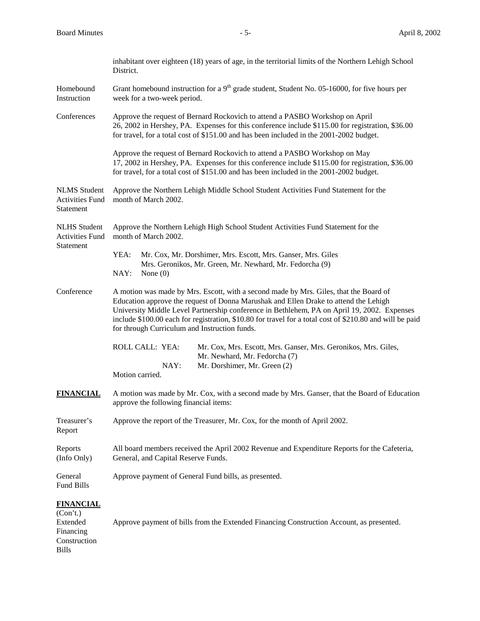|                                                            | inhabitant over eighteen (18) years of age, in the territorial limits of the Northern Lehigh School<br>District.                                                                                                                                                                                                                                                                                                                          |  |  |
|------------------------------------------------------------|-------------------------------------------------------------------------------------------------------------------------------------------------------------------------------------------------------------------------------------------------------------------------------------------------------------------------------------------------------------------------------------------------------------------------------------------|--|--|
| Homebound<br>Instruction                                   | Grant homebound instruction for a $9th$ grade student, Student No. 05-16000, for five hours per<br>week for a two-week period.                                                                                                                                                                                                                                                                                                            |  |  |
| Conferences                                                | Approve the request of Bernard Rockovich to attend a PASBO Workshop on April<br>26, 2002 in Hershey, PA. Expenses for this conference include \$115.00 for registration, \$36.00<br>for travel, for a total cost of \$151.00 and has been included in the 2001-2002 budget.                                                                                                                                                               |  |  |
|                                                            | Approve the request of Bernard Rockovich to attend a PASBO Workshop on May<br>17, 2002 in Hershey, PA. Expenses for this conference include \$115.00 for registration, \$36.00<br>for travel, for a total cost of \$151.00 and has been included in the 2001-2002 budget.                                                                                                                                                                 |  |  |
| <b>NLMS</b> Student<br><b>Activities Fund</b><br>Statement | Approve the Northern Lehigh Middle School Student Activities Fund Statement for the<br>month of March 2002.                                                                                                                                                                                                                                                                                                                               |  |  |
| <b>NLHS</b> Student<br><b>Activities Fund</b><br>Statement | Approve the Northern Lehigh High School Student Activities Fund Statement for the<br>month of March 2002.                                                                                                                                                                                                                                                                                                                                 |  |  |
|                                                            | YEA:<br>Mr. Cox, Mr. Dorshimer, Mrs. Escott, Mrs. Ganser, Mrs. Giles                                                                                                                                                                                                                                                                                                                                                                      |  |  |
|                                                            | Mrs. Geronikos, Mr. Green, Mr. Newhard, Mr. Fedorcha (9)<br>NAY:<br>None $(0)$                                                                                                                                                                                                                                                                                                                                                            |  |  |
| Conference                                                 | A motion was made by Mrs. Escott, with a second made by Mrs. Giles, that the Board of<br>Education approve the request of Donna Marushak and Ellen Drake to attend the Lehigh<br>University Middle Level Partnership conference in Bethlehem, PA on April 19, 2002. Expenses<br>include \$100.00 each for registration, \$10.80 for travel for a total cost of \$210.80 and will be paid<br>for through Curriculum and Instruction funds. |  |  |
|                                                            | ROLL CALL: YEA:<br>Mr. Cox, Mrs. Escott, Mrs. Ganser, Mrs. Geronikos, Mrs. Giles,<br>Mr. Newhard, Mr. Fedorcha (7)<br>NAY:<br>Mr. Dorshimer, Mr. Green (2)<br>Motion carried.                                                                                                                                                                                                                                                             |  |  |
| <b>FINANCIAL</b>                                           | A motion was made by Mr. Cox, with a second made by Mrs. Ganser, that the Board of Education<br>approve the following financial items:                                                                                                                                                                                                                                                                                                    |  |  |
| Treasurer's<br>Report                                      | Approve the report of the Treasurer, Mr. Cox, for the month of April 2002.                                                                                                                                                                                                                                                                                                                                                                |  |  |
| Reports<br>(Info Only)                                     | All board members received the April 2002 Revenue and Expenditure Reports for the Cafeteria,<br>General, and Capital Reserve Funds.                                                                                                                                                                                                                                                                                                       |  |  |
| General<br>Fund Bills                                      | Approve payment of General Fund bills, as presented.                                                                                                                                                                                                                                                                                                                                                                                      |  |  |
| <b>FINANCIAL</b><br>(Con't.)<br>Extended<br>Financing      | Approve payment of bills from the Extended Financing Construction Account, as presented.                                                                                                                                                                                                                                                                                                                                                  |  |  |

Construction Bills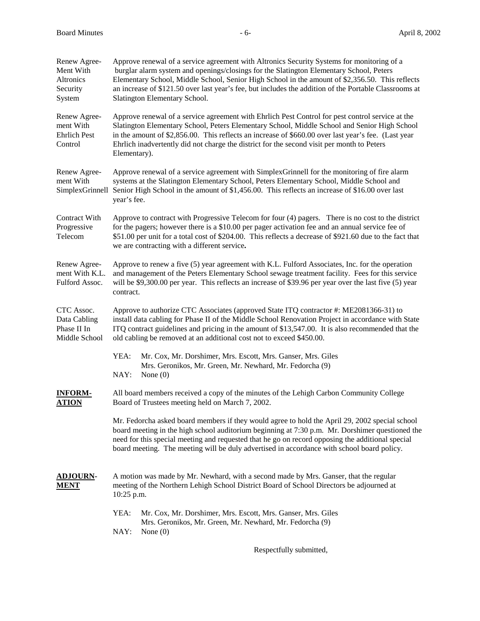| Renew Agree-<br>Ment With<br>Altronics<br>Security<br>System | Approve renewal of a service agreement with Altronics Security Systems for monitoring of a<br>burglar alarm system and openings/closings for the Slatington Elementary School, Peters<br>Elementary School, Middle School, Senior High School in the amount of \$2,356.50. This reflects<br>an increase of \$121.50 over last year's fee, but includes the addition of the Portable Classrooms at<br>Slatington Elementary School. |  |  |
|--------------------------------------------------------------|------------------------------------------------------------------------------------------------------------------------------------------------------------------------------------------------------------------------------------------------------------------------------------------------------------------------------------------------------------------------------------------------------------------------------------|--|--|
| Renew Agree-<br>ment With<br><b>Ehrlich Pest</b><br>Control  | Approve renewal of a service agreement with Ehrlich Pest Control for pest control service at the<br>Slatington Elementary School, Peters Elementary School, Middle School and Senior High School<br>in the amount of \$2,856.00. This reflects an increase of \$660.00 over last year's fee. (Last year<br>Ehrlich inadvertently did not charge the district for the second visit per month to Peters<br>Elementary).              |  |  |
| Renew Agree-<br>ment With<br>SimplexGrinnell                 | Approve renewal of a service agreement with SimplexGrinnell for the monitoring of fire alarm<br>systems at the Slatington Elementary School, Peters Elementary School, Middle School and<br>Senior High School in the amount of \$1,456.00. This reflects an increase of \$16.00 over last<br>year's fee.                                                                                                                          |  |  |
| Contract With<br>Progressive<br>Telecom                      | Approve to contract with Progressive Telecom for four (4) pagers. There is no cost to the district<br>for the pagers; however there is a \$10.00 per pager activation fee and an annual service fee of<br>\$51.00 per unit for a total cost of \$204.00. This reflects a decrease of \$921.60 due to the fact that<br>we are contracting with a different service.                                                                 |  |  |
| Renew Agree-<br>ment With K.L.<br>Fulford Assoc.             | Approve to renew a five (5) year agreement with K.L. Fulford Associates, Inc. for the operation<br>and management of the Peters Elementary School sewage treatment facility. Fees for this service<br>will be \$9,300.00 per year. This reflects an increase of \$39.96 per year over the last five (5) year<br>contract.                                                                                                          |  |  |
| CTC Assoc.<br>Data Cabling<br>Phase II In<br>Middle School   | Approve to authorize CTC Associates (approved State ITQ contractor #: ME2081366-31) to<br>install data cabling for Phase II of the Middle School Renovation Project in accordance with State<br>ITQ contract guidelines and pricing in the amount of \$13,547.00. It is also recommended that the<br>old cabling be removed at an additional cost not to exceed \$450.00.                                                          |  |  |
|                                                              | Mr. Cox, Mr. Dorshimer, Mrs. Escott, Mrs. Ganser, Mrs. Giles<br>YEA:<br>Mrs. Geronikos, Mr. Green, Mr. Newhard, Mr. Fedorcha (9)<br>NAY:<br>None $(0)$                                                                                                                                                                                                                                                                             |  |  |
| <b>INFORM-</b><br><b>ATION</b>                               | All board members received a copy of the minutes of the Lehigh Carbon Community College<br>Board of Trustees meeting held on March 7, 2002.                                                                                                                                                                                                                                                                                        |  |  |
|                                                              | Mr. Fedorcha asked board members if they would agree to hold the April 29, 2002 special school<br>board meeting in the high school auditorium beginning at 7:30 p.m. Mr. Dorshimer questioned the<br>need for this special meeting and requested that he go on record opposing the additional special<br>board meeting. The meeting will be duly advertised in accordance with school board policy.                                |  |  |
| <b>ADJOURN-</b><br>MENT                                      | A motion was made by Mr. Newhard, with a second made by Mrs. Ganser, that the regular<br>meeting of the Northern Lehigh School District Board of School Directors be adjourned at<br>10:25 p.m.                                                                                                                                                                                                                                    |  |  |
|                                                              | YEA:<br>Mr. Cox, Mr. Dorshimer, Mrs. Escott, Mrs. Ganser, Mrs. Giles<br>Mrs. Geronikos, Mr. Green, Mr. Newhard, Mr. Fedorcha (9)<br>NAY:<br>None $(0)$                                                                                                                                                                                                                                                                             |  |  |

Respectfully submitted,